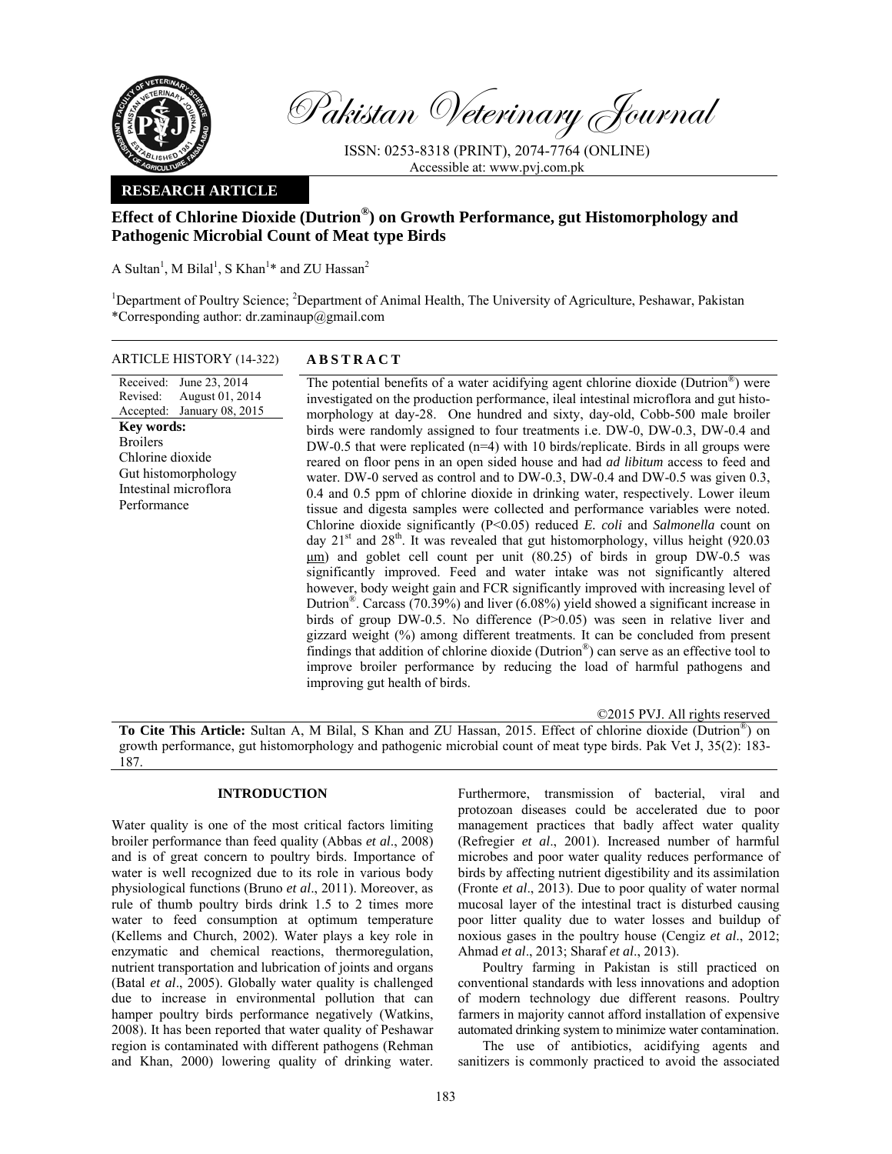

Pakistan Veterinary Journal

ISSN: 0253-8318 (PRINT), 2074-7764 (ONLINE) Accessible at: www.pvj.com.pk

# **RESEARCH ARTICLE**

# **Effect of Chlorine Dioxide (Dutrion®) on Growth Performance, gut Histomorphology and Pathogenic Microbial Count of Meat type Birds**

A Sultan<sup>1</sup>, M Bilal<sup>1</sup>, S Khan<sup>1</sup>\* and ZU Hassan<sup>2</sup>

<sup>1</sup>Department of Poultry Science; <sup>2</sup>Department of Animal Health, The University of Agriculture, Peshawar, Pakistan \*Corresponding author: dr.zaminaup@gmail.com

ARTICLE HISTORY (14-322) **ABSTRACT** 

Received: Revised: Accepted: June 23, 2014 August 01, 2014 January 08, 2015 **Key words:**  Broilers Chlorine dioxide Gut histomorphology Intestinal microflora Performance

The potential benefits of a water acidifying agent chlorine dioxide (Dutrion<sup>®</sup>) were investigated on the production performance, ileal intestinal microflora and gut histomorphology at day-28. One hundred and sixty, day-old, Cobb-500 male broiler birds were randomly assigned to four treatments i.e. DW-0, DW-0.3, DW-0.4 and DW-0.5 that were replicated (n=4) with 10 birds/replicate. Birds in all groups were reared on floor pens in an open sided house and had *ad libitum* access to feed and water. DW-0 served as control and to DW-0.3, DW-0.4 and DW-0.5 was given 0.3, 0.4 and 0.5 ppm of chlorine dioxide in drinking water, respectively. Lower ileum tissue and digesta samples were collected and performance variables were noted. Chlorine dioxide significantly (P<0.05) reduced *E. coli* and *Salmonella* count on day  $21<sup>st</sup>$  and  $28<sup>th</sup>$ . It was revealed that gut histomorphology, villus height (920.03 um) and goblet cell count per unit (80.25) of birds in group DW-0.5 was significantly improved. Feed and water intake was not significantly altered however, body weight gain and FCR significantly improved with increasing level of Dutrion<sup>®</sup>. Carcass (70.39%) and liver (6.08%) yield showed a significant increase in birds of group DW-0.5. No difference (P>0.05) was seen in relative liver and gizzard weight (%) among different treatments. It can be concluded from present findings that addition of chlorine dioxide (Dutrion<sup>®</sup>) can serve as an effective tool to improve broiler performance by reducing the load of harmful pathogens and improving gut health of birds.

©2015 PVJ. All rights reserved

**To Cite This Article:** Sultan A, M Bilal, S Khan and ZU Hassan, 2015. Effect of chlorine dioxide (Dutrion®) on growth performance, gut histomorphology and pathogenic microbial count of meat type birds. Pak Vet J, 35(2): 183- 187.

# **INTRODUCTION**

Water quality is one of the most critical factors limiting broiler performance than feed quality (Abbas *et al*., 2008) and is of great concern to poultry birds. Importance of water is well recognized due to its role in various body physiological functions (Bruno *et al*., 2011). Moreover, as rule of thumb poultry birds drink 1.5 to 2 times more water to feed consumption at optimum temperature (Kellems and Church, 2002). Water plays a key role in enzymatic and chemical reactions, thermoregulation, nutrient transportation and lubrication of joints and organs (Batal *et al*., 2005). Globally water quality is challenged due to increase in environmental pollution that can hamper poultry birds performance negatively (Watkins, 2008). It has been reported that water quality of Peshawar region is contaminated with different pathogens (Rehman and Khan, 2000) lowering quality of drinking water.

Furthermore, transmission of bacterial, viral and protozoan diseases could be accelerated due to poor management practices that badly affect water quality (Refregier *et al*., 2001). Increased number of harmful microbes and poor water quality reduces performance of birds by affecting nutrient digestibility and its assimilation (Fronte *et al*., 2013). Due to poor quality of water normal mucosal layer of the intestinal tract is disturbed causing poor litter quality due to water losses and buildup of noxious gases in the poultry house (Cengiz *et al*., 2012; Ahmad *et al*., 2013; Sharaf *et al*., 2013).

Poultry farming in Pakistan is still practiced on conventional standards with less innovations and adoption of modern technology due different reasons. Poultry farmers in majority cannot afford installation of expensive automated drinking system to minimize water contamination.

The use of antibiotics, acidifying agents and sanitizers is commonly practiced to avoid the associated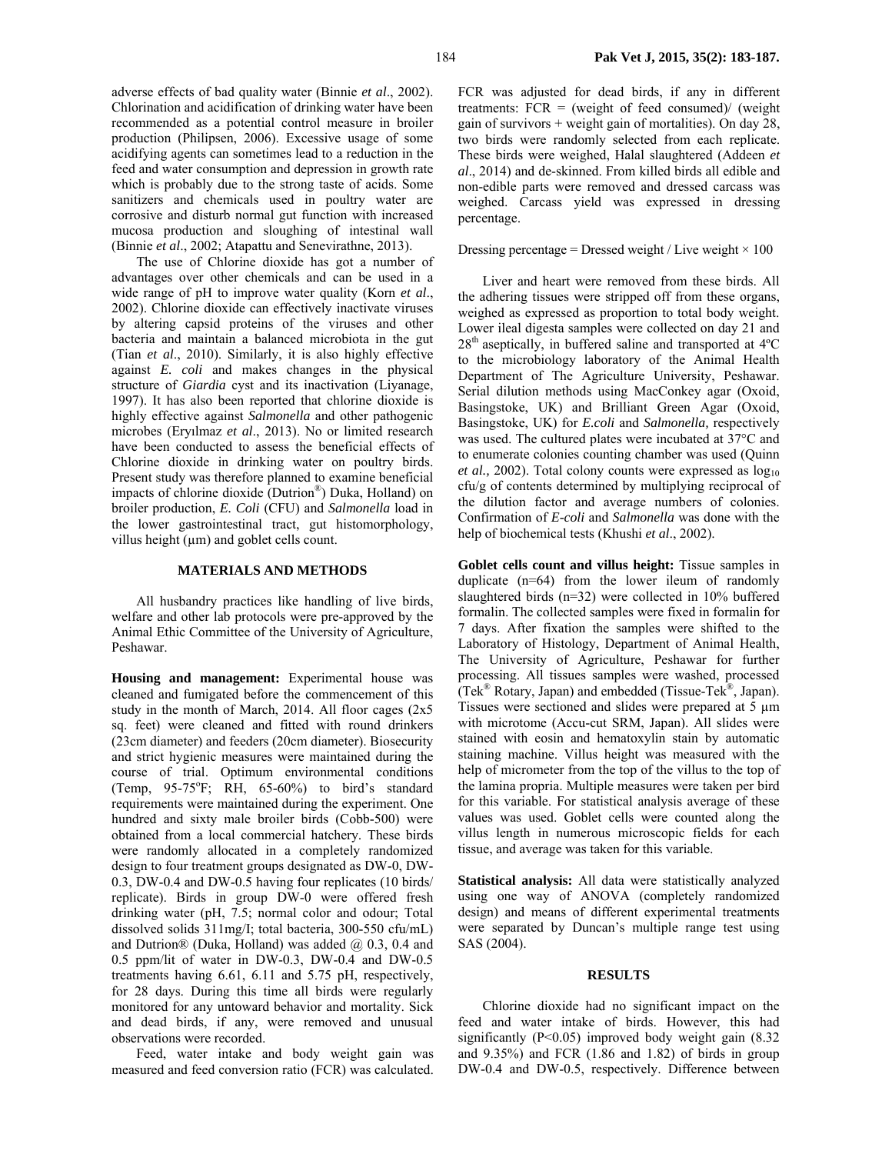adverse effects of bad quality water (Binnie *et al*., 2002). Chlorination and acidification of drinking water have been recommended as a potential control measure in broiler production (Philipsen, 2006). Excessive usage of some acidifying agents can sometimes lead to a reduction in the feed and water consumption and depression in growth rate which is probably due to the strong taste of acids. Some sanitizers and chemicals used in poultry water are corrosive and disturb normal gut function with increased mucosa production and sloughing of intestinal wall (Binnie *et al*., 2002; Atapattu and Senevirathne, 2013).

The use of Chlorine dioxide has got a number of advantages over other chemicals and can be used in a wide range of pH to improve water quality (Korn *et al*., 2002). Chlorine dioxide can effectively inactivate viruses by altering capsid proteins of the viruses and other bacteria and maintain a balanced microbiota in the gut (Tian *et al*., 2010). Similarly, it is also highly effective against *E. coli* and makes changes in the physical structure of *Giardia* cyst and its inactivation (Liyanage, 1997). It has also been reported that chlorine dioxide is highly effective against *Salmonella* and other pathogenic microbes (Eryılmaz *et al*., 2013). No or limited research have been conducted to assess the beneficial effects of Chlorine dioxide in drinking water on poultry birds. Present study was therefore planned to examine beneficial impacts of chlorine dioxide (Dutrion®) Duka, Holland) on broiler production, *E. Coli* (CFU) and *Salmonella* load in the lower gastrointestinal tract, gut histomorphology, villus height  $(\mu m)$  and goblet cells count.

## **MATERIALS AND METHODS**

All husbandry practices like handling of live birds, welfare and other lab protocols were pre-approved by the Animal Ethic Committee of the University of Agriculture, Peshawar.

**Housing and management:** Experimental house was cleaned and fumigated before the commencement of this study in the month of March, 2014. All floor cages (2x5 sq. feet) were cleaned and fitted with round drinkers (23cm diameter) and feeders (20cm diameter). Biosecurity and strict hygienic measures were maintained during the course of trial. Optimum environmental conditions (Temp,  $95-75$ °F; RH,  $65-60\%$ ) to bird's standard requirements were maintained during the experiment. One hundred and sixty male broiler birds (Cobb-500) were obtained from a local commercial hatchery. These birds were randomly allocated in a completely randomized design to four treatment groups designated as DW-0, DW-0.3, DW-0.4 and DW-0.5 having four replicates (10 birds/ replicate). Birds in group DW-0 were offered fresh drinking water (pH, 7.5; normal color and odour; Total dissolved solids 311mg/I; total bacteria, 300-550 cfu/mL) and Dutrion® (Duka, Holland) was added @ 0.3, 0.4 and 0.5 ppm/lit of water in DW-0.3, DW-0.4 and DW-0.5 treatments having 6.61, 6.11 and 5.75 pH, respectively, for 28 days. During this time all birds were regularly monitored for any untoward behavior and mortality. Sick and dead birds, if any, were removed and unusual observations were recorded.

Feed, water intake and body weight gain was measured and feed conversion ratio (FCR) was calculated.

FCR was adjusted for dead birds, if any in different treatments:  $FCR = (weight of feed consumed) / (weight)$ gain of survivors  $+$  weight gain of mortalities). On day 28, two birds were randomly selected from each replicate. These birds were weighed, Halal slaughtered (Addeen *et al*., 2014) and de-skinned. From killed birds all edible and non-edible parts were removed and dressed carcass was weighed. Carcass yield was expressed in dressing percentage.

## Dressing percentage = Dressed weight / Live weight  $\times$  100

Liver and heart were removed from these birds. All the adhering tissues were stripped off from these organs, weighed as expressed as proportion to total body weight. Lower ileal digesta samples were collected on day 21 and  $28<sup>th</sup>$  aseptically, in buffered saline and transported at  $4<sup>o</sup>C$ to the microbiology laboratory of the Animal Health Department of The Agriculture University, Peshawar. Serial dilution methods using MacConkey agar (Oxoid, Basingstoke, UK) and Brilliant Green Agar (Oxoid, Basingstoke, UK) for *E.coli* and *Salmonella,* respectively was used. The cultured plates were incubated at 37°C and to enumerate colonies counting chamber was used (Quinn *et al.,* 2002). Total colony counts were expressed as  $log_{10}$ cfu/g of contents determined by multiplying reciprocal of the dilution factor and average numbers of colonies. Confirmation of *E-coli* and *Salmonella* was done with the help of biochemical tests (Khushi *et al*., 2002).

**Goblet cells count and villus height:** Tissue samples in duplicate (n=64) from the lower ileum of randomly slaughtered birds (n=32) were collected in 10% buffered formalin. The collected samples were fixed in formalin for 7 days. After fixation the samples were shifted to the Laboratory of Histology, Department of Animal Health, The University of Agriculture, Peshawar for further processing. All tissues samples were washed, processed (Tek® Rotary, Japan) and embedded (Tissue-Tek®, Japan). Tissues were sectioned and slides were prepared at 5 µm with microtome (Accu-cut SRM, Japan). All slides were stained with eosin and hematoxylin stain by automatic staining machine. Villus height was measured with the help of micrometer from the top of the villus to the top of the lamina propria. Multiple measures were taken per bird for this variable. For statistical analysis average of these values was used. Goblet cells were counted along the villus length in numerous microscopic fields for each tissue, and average was taken for this variable.

**Statistical analysis:** All data were statistically analyzed using one way of ANOVA (completely randomized design) and means of different experimental treatments were separated by Duncan's multiple range test using SAS (2004).

#### **RESULTS**

Chlorine dioxide had no significant impact on the feed and water intake of birds. However, this had significantly  $(P<0.05)$  improved body weight gain  $(8.32)$ and 9.35%) and FCR (1.86 and 1.82) of birds in group DW-0.4 and DW-0.5, respectively. Difference between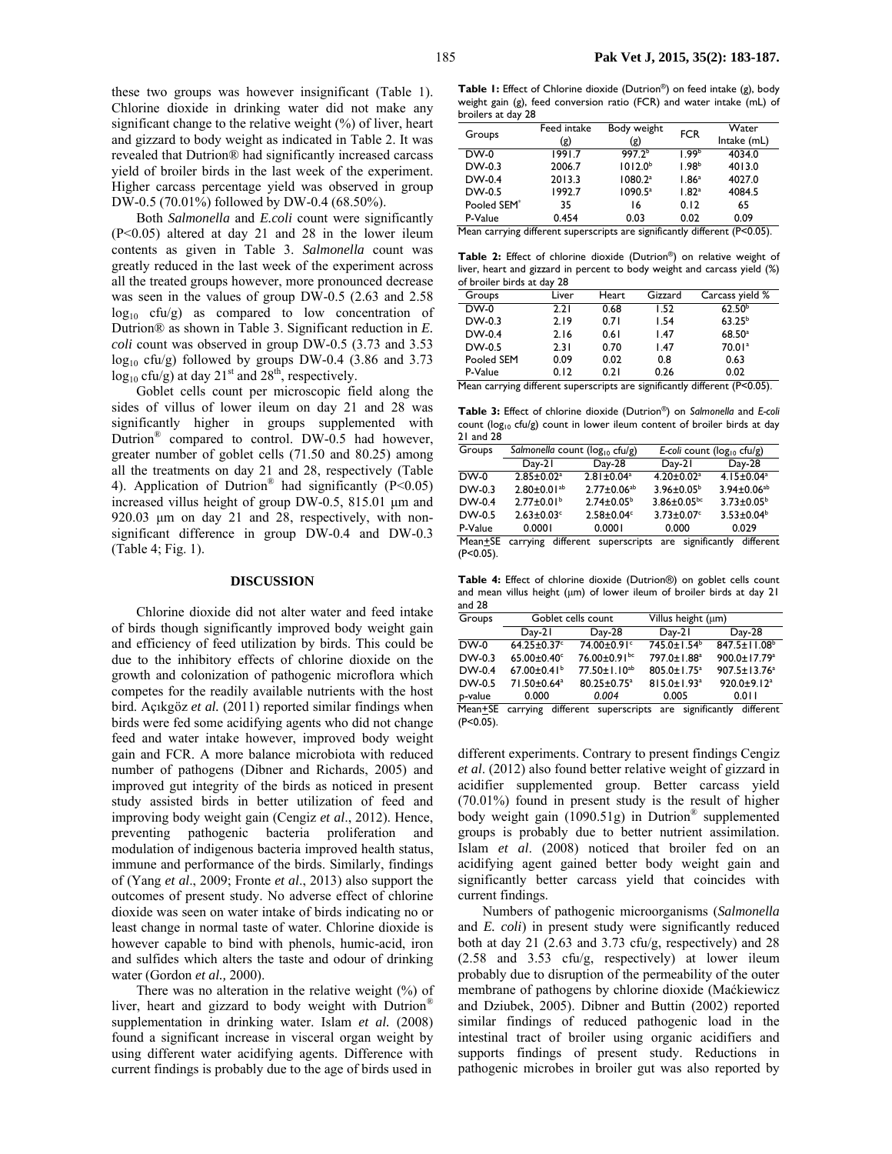these two groups was however insignificant (Table 1). Chlorine dioxide in drinking water did not make any significant change to the relative weight (%) of liver, heart and gizzard to body weight as indicated in Table 2. It was revealed that Dutrion® had significantly increased carcass yield of broiler birds in the last week of the experiment. Higher carcass percentage yield was observed in group DW-0.5 (70.01%) followed by DW-0.4 (68.50%).

Both *Salmonella* and *E.coli* count were significantly (P<0.05) altered at day 21 and 28 in the lower ileum contents as given in Table 3. *Salmonella* count was greatly reduced in the last week of the experiment across all the treated groups however, more pronounced decrease was seen in the values of group DW-0.5 (2.63 and 2.58  $log_{10}$  cfu/g) as compared to low concentration of Dutrion® as shown in Table 3. Significant reduction in *E. coli* count was observed in group DW-0.5 (3.73 and 3.53  $log_{10}$  cfu/g) followed by groups DW-0.4 (3.86 and 3.73  $log_{10}$  cfu/g) at day 21<sup>st</sup> and 28<sup>th</sup>, respectively.

Goblet cells count per microscopic field along the sides of villus of lower ileum on day 21 and 28 was significantly higher in groups supplemented with Dutrion<sup>®</sup> compared to control. DW-0.5 had however, greater number of goblet cells (71.50 and 80.25) among all the treatments on day 21 and 28, respectively (Table 4). Application of Dutrion<sup>®</sup> had significantly  $(P<0.05)$ increased villus height of group DW-0.5, 815.01 µm and 920.03  $\mu$ m on day 21 and 28, respectively, with nonsignificant difference in group DW-0.4 and DW-0.3 (Table 4; Fig. 1).

### **DISCUSSION**

Chlorine dioxide did not alter water and feed intake of birds though significantly improved body weight gain and efficiency of feed utilization by birds. This could be due to the inhibitory effects of chlorine dioxide on the growth and colonization of pathogenic microflora which competes for the readily available nutrients with the host bird. Açıkgöz *et al.* (2011) reported similar findings when birds were fed some acidifying agents who did not change feed and water intake however, improved body weight gain and FCR. A more balance microbiota with reduced number of pathogens (Dibner and Richards, 2005) and improved gut integrity of the birds as noticed in present study assisted birds in better utilization of feed and improving body weight gain (Cengiz *et al*., 2012). Hence, preventing pathogenic bacteria proliferation and modulation of indigenous bacteria improved health status, immune and performance of the birds. Similarly, findings of (Yang *et al*., 2009; Fronte *et al*., 2013) also support the outcomes of present study. No adverse effect of chlorine dioxide was seen on water intake of birds indicating no or least change in normal taste of water. Chlorine dioxide is however capable to bind with phenols, humic-acid, iron and sulfides which alters the taste and odour of drinking water (Gordon *et al.,* 2000).

There was no alteration in the relative weight (%) of liver, heart and gizzard to body weight with Dutrion<sup>®</sup> supplementation in drinking water. Islam *et al.* (2008) found a significant increase in visceral organ weight by using different water acidifying agents. Difference with current findings is probably due to the age of birds used in

**Table 1:** Effect of Chlorine dioxide (Dutrion®) on feed intake (g), body weight gain (g), feed conversion ratio (FCR) and water intake (mL) of broilers at day 28

| Groups                  | Feed intake | Body weight         | <b>FCR</b>        | Water       |
|-------------------------|-------------|---------------------|-------------------|-------------|
|                         | (g)         | (g)                 |                   | Intake (mL) |
| $DW-0$                  | 1991.7      | 997.2 <sup>b</sup>  | 1.99 <sup>b</sup> | 4034.0      |
| $DW-0.3$                | 2006.7      | 1012.0 <sup>b</sup> | 1.98 <sup>b</sup> | 4013.0      |
| $DW-0.4$                | 2013.3      | 1080.2 <sup>a</sup> | 1.86 <sup>a</sup> | 4027.0      |
| $DW-0.5$                | 1992.7      | $1090.5^a$          | 1.82 <sup>a</sup> | 4084.5      |
| Pooled SEM <sup>*</sup> | 35          | 16                  | 0.12              | 65          |
| P-Value                 | 0.454       | 0.03                | 0.02              | 0.09        |

Mean carrying different superscripts are significantly different (P<0.05).

**Table 2:** Effect of chlorine dioxide (Dutrion®) on relative weight of liver, heart and gizzard in percent to body weight and carcass yield (%) of broiler birds at day 28

| Groups                               | Liver | Heart | Gizzard       | Carcass yield %                     |
|--------------------------------------|-------|-------|---------------|-------------------------------------|
| $DW-0$                               | 2.21  | 0.68  | 1.52          | 62.50 <sup>b</sup>                  |
| $DW-0.3$                             | 2.19  | 0.71  | 1.54          | $63.25^{b}$                         |
| $DW-0.4$                             | 2.16  | 0.61  | l.47          | $68.50^a$                           |
| $DW-0.5$                             | 2.31  | 0.70  | l.47          | 70.01 <sup>a</sup>                  |
| Pooled SEM                           | 0.09  | 0.02  | 0.8           | 0.63                                |
| P-Value                              | 0.12  | 0.21  | 0.26          | 0.02                                |
| $\ddot{\phantom{1}}$<br>22<br>$\sim$ |       |       | $\sim$ $\sim$ | 1.00<br>$\sim$ $\sim$ $\sim$ $\sim$ |

Mean carrying different superscripts are significantly different (P<0.05).

**Table 3:** Effect of chlorine dioxide (Dutrion®) on *Salmonella* and *E-coli* count ( $log_{10}$  cfu/g) count in lower ileum content of broiler birds at day 21 and 28

| Groups   | Salmonella count (log <sub>10</sub> cfu/g) |                              | E-coli count ( $log_{10}$ cfu/g) |                              |
|----------|--------------------------------------------|------------------------------|----------------------------------|------------------------------|
|          | $Day-21$                                   | $Day-28$                     | $Day-21$                         | Day-28                       |
| DW-0     | $2.85 \pm 0.02$ <sup>a</sup>               | $2.81 \pm 0.04$ <sup>a</sup> | $4.20 \pm 0.02$ <sup>a</sup>     | $4.15 \pm 0.04$ <sup>a</sup> |
| $DW-0.3$ | $2.80 \pm 0.01$ <sup>ab</sup>              | $2.77 \pm 0.06^{ab}$         | $3.96 \pm 0.05^{\circ}$          | $3.94 \pm 0.06^{ab}$         |
| $DW-0.4$ | $2.77 \pm 0.01$ <sup>b</sup>               | $2.74 \pm 0.05^{\circ}$      | $3.86 \pm 0.05^{bc}$             | $3.73 \pm 0.05^{\circ}$      |
| DW-0.5   | $2.63 \pm 0.03$ <sup>c</sup>               | $2.58 \pm 0.04$ <sup>c</sup> | $3.73 \pm 0.07$ <sup>c</sup>     | $3.53 \pm 0.04^b$            |
| P-Value  | 0.0001                                     | 0.0001                       | 0.000                            | 0.029                        |
| $\cdots$ |                                            |                              | $\sim$ 400 $\sim$                | 1.00                         |

Mean+SE carrying different superscripts are significantly different  $(P<0.05)$ .

**Table 4:** Effect of chlorine dioxide (Dutrion®) on goblet cells count and mean villus height ( $\mu$ m) of lower ileum of broiler birds at day 21 and 28

| Groups   | Goblet cells count            |                                | Villus height (um)            |                          |
|----------|-------------------------------|--------------------------------|-------------------------------|--------------------------|
|          | $Day-21$                      | $Day-28$                       | $Day-21$                      | Day-28                   |
| $DW-0$   | $64.25 \pm 0.37$ °            | $74.00 \pm 0.91$ °             | $745.0 \pm 1.54^b$            | $847.5 \pm 11.08^b$      |
| $DW-0.3$ | $65.00 \pm 0.40$ <sup>c</sup> | $76.00 \pm 0.91$ <sub>bc</sub> | 797.0±1.88 <sup>a</sup>       | 900.0±17.79 <sup>a</sup> |
| $DW-0.4$ | $67.00 \pm 0.41$              | 77.50±1.10 <sup>ab</sup>       | $805.0 \pm 1.75^{\circ}$      | $907.5 \pm 13.76^a$      |
| DW-0.5   | 71.50±0.64 <sup>a</sup>       | 80.25±0.75 <sup>a</sup>        | $815.0 \pm 1.93$ <sup>a</sup> | 920.0±9.12 <sup>a</sup>  |
| p-value  | 0.000                         | 0.004                          | 0.005                         | 0.011                    |

Mean<sup>+</sup>SE carrying different superscripts are significantly different (P<0.05).

different experiments. Contrary to present findings Cengiz *et al*. (2012) also found better relative weight of gizzard in acidifier supplemented group. Better carcass yield (70.01%) found in present study is the result of higher body weight gain (1090.51g) in Dutrion® supplemented groups is probably due to better nutrient assimilation. Islam *et al*. (2008) noticed that broiler fed on an acidifying agent gained better body weight gain and significantly better carcass yield that coincides with current findings.

Numbers of pathogenic microorganisms (*Salmonella*  and *E. coli*) in present study were significantly reduced both at day 21 (2.63 and 3.73 cfu/g, respectively) and 28 (2.58 and 3.53 cfu/g, respectively) at lower ileum probably due to disruption of the permeability of the outer membrane of pathogens by chlorine dioxide (Maćkiewicz and Dziubek, 2005). Dibner and Buttin (2002) reported similar findings of reduced pathogenic load in the intestinal tract of broiler using organic acidifiers and supports findings of present study. Reductions in pathogenic microbes in broiler gut was also reported by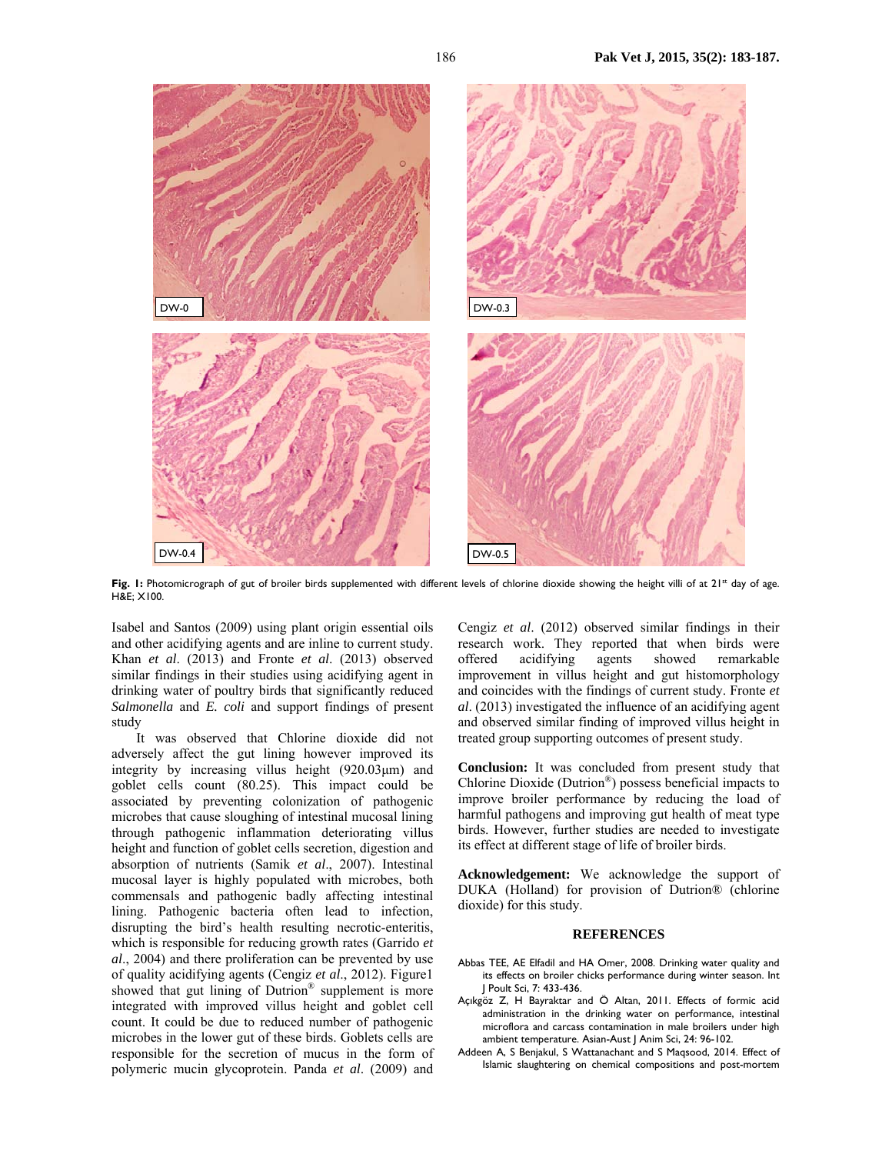

Fig. I: Photomicrograph of gut of broiler birds supplemented with different levels of chlorine dioxide showing the height villi of at 21<sup>st</sup> day of age. H&E; X100.

Isabel and Santos (2009) using plant origin essential oils and other acidifying agents and are inline to current study. Khan *et al*. (2013) and Fronte *et al*. (2013) observed similar findings in their studies using acidifying agent in drinking water of poultry birds that significantly reduced *Salmonella* and *E. coli* and support findings of present study

It was observed that Chlorine dioxide did not adversely affect the gut lining however improved its integrity by increasing villus height (920.03µm) and goblet cells count (80.25). This impact could be associated by preventing colonization of pathogenic microbes that cause sloughing of intestinal mucosal lining through pathogenic inflammation deteriorating villus height and function of goblet cells secretion, digestion and absorption of nutrients (Samik *et al*., 2007). Intestinal mucosal layer is highly populated with microbes, both commensals and pathogenic badly affecting intestinal lining. Pathogenic bacteria often lead to infection, disrupting the bird's health resulting necrotic-enteritis, which is responsible for reducing growth rates (Garrido *et al*., 2004) and there proliferation can be prevented by use of quality acidifying agents (Cengiz *et al*., 2012). Figure1 showed that gut lining of Dutrion® supplement is more integrated with improved villus height and goblet cell count. It could be due to reduced number of pathogenic microbes in the lower gut of these birds. Goblets cells are responsible for the secretion of mucus in the form of polymeric mucin glycoprotein. Panda *et al*. (2009) and

Cengiz *et al*. (2012) observed similar findings in their research work. They reported that when birds were offered acidifying agents showed remarkable improvement in villus height and gut histomorphology and coincides with the findings of current study. Fronte *et al*. (2013) investigated the influence of an acidifying agent and observed similar finding of improved villus height in treated group supporting outcomes of present study.

**Conclusion:** It was concluded from present study that Chlorine Dioxide (Dutrion®) possess beneficial impacts to improve broiler performance by reducing the load of harmful pathogens and improving gut health of meat type birds. However, further studies are needed to investigate its effect at different stage of life of broiler birds.

**Acknowledgement:** We acknowledge the support of DUKA (Holland) for provision of Dutrion® (chlorine dioxide) for this study.

#### **REFERENCES**

- Abbas TEE, AE Elfadil and HA Omer, 2008. Drinking water quality and its effects on broiler chicks performance during winter season. Int J Poult Sci, 7: 433-436.
- Açıkgöz Z, H Bayraktar and Ö Altan, 2011. Effects of formic acid administration in the drinking water on performance, intestinal microflora and carcass contamination in male broilers under high ambient temperature. Asian-Aust J Anim Sci, 24: 96-102.
- Addeen A, S Benjakul, S Wattanachant and S Maqsood, 2014. Effect of Islamic slaughtering on chemical compositions and post-mortem